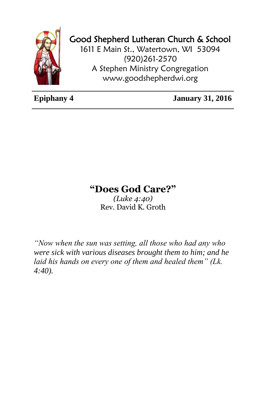

## Good Shepherd Lutheran Church & School

1611 E Main St., Watertown, WI 53094 (920)261-2570 A Stephen Ministry Congregation [www.goodshepherdwi.org](http://www.goodshepherdwi.org/)

**Epiphany 4 January 31, 2016**

## **"Does God Care?"**

*(Luke 4:40)* Rev. David K. Groth

*"Now when the sun was setting, all those who had any who were sick with various diseases brought them to him; and he laid his hands on every one of them and healed them" (Lk. 4:40).*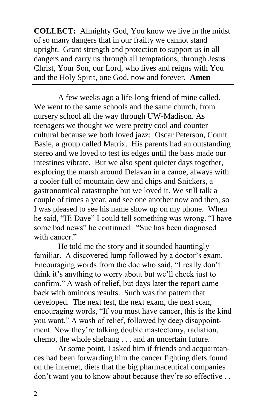**COLLECT:** Almighty God, You know we live in the midst of so many dangers that in our frailty we cannot stand upright. Grant strength and protection to support us in all dangers and carry us through all temptations; through Jesus Christ, Your Son, our Lord, who lives and reigns with You and the Holy Spirit, one God, now and forever. **Amen**

A few weeks ago a life-long friend of mine called. We went to the same schools and the same church, from nursery school all the way through UW-Madison. As teenagers we thought we were pretty cool and counter cultural because we both loved jazz: Oscar Peterson, Count Basie, a group called Matrix. His parents had an outstanding stereo and we loved to test its edges until the bass made our intestines vibrate. But we also spent quieter days together, exploring the marsh around Delavan in a canoe, always with a cooler full of mountain dew and chips and Snickers, a gastronomical catastrophe but we loved it. We still talk a couple of times a year, and see one another now and then, so I was pleased to see his name show up on my phone. When he said, "Hi Dave" I could tell something was wrong. "I have some bad news" he continued. "Sue has been diagnosed with cancer."

He told me the story and it sounded hauntingly familiar. A discovered lump followed by a doctor's exam. Encouraging words from the doc who said, "I really don't think it's anything to worry about but we'll check just to confirm." A wash of relief, but days later the report came back with ominous results. Such was the pattern that developed. The next test, the next exam, the next scan, encouraging words, "If you must have cancer, this is the kind you want." A wash of relief, followed by deep disappointment. Now they're talking double mastectomy, radiation, chemo, the whole shebang . . . and an uncertain future.

At some point, I asked him if friends and acquaintances had been forwarding him the cancer fighting diets found on the internet, diets that the big pharmaceutical companies don't want you to know about because they're so effective . .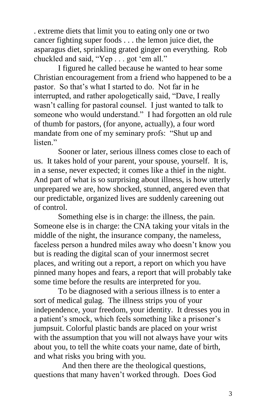. extreme diets that limit you to eating only one or two cancer fighting super foods . . . the lemon juice diet, the asparagus diet, sprinkling grated ginger on everything. Rob chuckled and said, "Yep . . . got 'em all."

I figured he called because he wanted to hear some Christian encouragement from a friend who happened to be a pastor. So that's what I started to do. Not far in he interrupted, and rather apologetically said, "Dave, I really wasn't calling for pastoral counsel. I just wanted to talk to someone who would understand." I had forgotten an old rule of thumb for pastors, (for anyone, actually), a four word mandate from one of my seminary profs: "Shut up and listen<sup>"</sup>

Sooner or later, serious illness comes close to each of us. It takes hold of your parent, your spouse, yourself. It is, in a sense, never expected; it comes like a thief in the night. And part of what is so surprising about illness, is how utterly unprepared we are, how shocked, stunned, angered even that our predictable, organized lives are suddenly careening out of control.

Something else is in charge: the illness, the pain. Someone else is in charge: the CNA taking your vitals in the middle of the night, the insurance company, the nameless, faceless person a hundred miles away who doesn't know you but is reading the digital scan of your innermost secret places, and writing out a report, a report on which you have pinned many hopes and fears, a report that will probably take some time before the results are interpreted for you.

To be diagnosed with a serious illness is to enter a sort of medical gulag. The illness strips you of your independence, your freedom, your identity. It dresses you in a patient's smock, which feels something like a prisoner's jumpsuit. Colorful plastic bands are placed on your wrist with the assumption that you will not always have your wits about you, to tell the white coats your name, date of birth, and what risks you bring with you.

 And then there are the theological questions, questions that many haven't worked through. Does God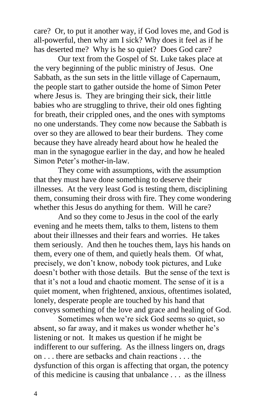care? Or, to put it another way, if God loves me, and God is all-powerful, then why am I sick? Why does it feel as if he has deserted me? Why is he so quiet? Does God care?

Our text from the Gospel of St. Luke takes place at the very beginning of the public ministry of Jesus. One Sabbath, as the sun sets in the little village of Capernaum, the people start to gather outside the home of Simon Peter where Jesus is. They are bringing their sick, their little babies who are struggling to thrive, their old ones fighting for breath, their crippled ones, and the ones with symptoms no one understands. They come now because the Sabbath is over so they are allowed to bear their burdens. They come because they have already heard about how he healed the man in the synagogue earlier in the day, and how he healed Simon Peter's mother-in-law.

They come with assumptions, with the assumption that they must have done something to deserve their illnesses. At the very least God is testing them, disciplining them, consuming their dross with fire. They come wondering whether this Jesus do anything for them. Will he care?

And so they come to Jesus in the cool of the early evening and he meets them, talks to them, listens to them about their illnesses and their fears and worries. He takes them seriously. And then he touches them, lays his hands on them, every one of them, and quietly heals them. Of what, precisely, we don't know, nobody took pictures, and Luke doesn't bother with those details. But the sense of the text is that it's not a loud and chaotic moment. The sense of it is a quiet moment, when frightened, anxious, oftentimes isolated, lonely, desperate people are touched by his hand that conveys something of the love and grace and healing of God.

Sometimes when we're sick God seems so quiet, so absent, so far away, and it makes us wonder whether he's listening or not. It makes us question if he might be indifferent to our suffering. As the illness lingers on, drags on . . . there are setbacks and chain reactions . . . the dysfunction of this organ is affecting that organ, the potency of this medicine is causing that unbalance . . . as the illness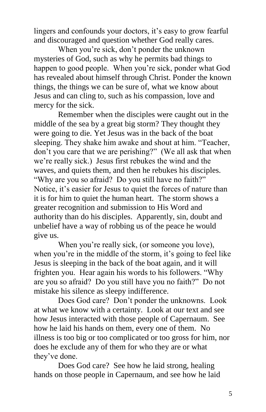lingers and confounds your doctors, it's easy to grow fearful and discouraged and question whether God really cares.

When you're sick, don't ponder the unknown mysteries of God, such as why he permits bad things to happen to good people. When you're sick, ponder what God has revealed about himself through Christ. Ponder the known things, the things we can be sure of, what we know about Jesus and can cling to, such as his compassion, love and mercy for the sick.

Remember when the disciples were caught out in the middle of the sea by a great big storm? They thought they were going to die. Yet Jesus was in the back of the boat sleeping. They shake him awake and shout at him. "Teacher, don't you care that we are perishing?" (We all ask that when we're really sick.) Jesus first rebukes the wind and the waves, and quiets them, and then he rebukes his disciples. "Why are you so afraid? Do you still have no faith?" Notice, it's easier for Jesus to quiet the forces of nature than it is for him to quiet the human heart. The storm shows a greater recognition and submission to His Word and authority than do his disciples. Apparently, sin, doubt and unbelief have a way of robbing us of the peace he would give us.

When you're really sick, (or someone you love), when you're in the middle of the storm, it's going to feel like Jesus is sleeping in the back of the boat again, and it will frighten you. Hear again his words to his followers. "Why are you so afraid? Do you still have you no faith?" Do not mistake his silence as sleepy indifference.

Does God care? Don't ponder the unknowns. Look at what we know with a certainty. Look at our text and see how Jesus interacted with those people of Capernaum. See how he laid his hands on them, every one of them. No illness is too big or too complicated or too gross for him, nor does he exclude any of them for who they are or what they've done.

Does God care? See how he laid strong, healing hands on those people in Capernaum, and see how he laid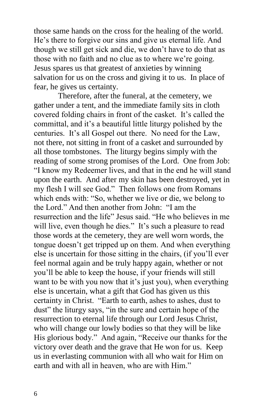those same hands on the cross for the healing of the world. He's there to forgive our sins and give us eternal life. And though we still get sick and die, we don't have to do that as those with no faith and no clue as to where we're going. Jesus spares us that greatest of anxieties by winning salvation for us on the cross and giving it to us. In place of fear, he gives us certainty.

Therefore, after the funeral, at the cemetery, we gather under a tent, and the immediate family sits in cloth covered folding chairs in front of the casket. It's called the committal, and it's a beautiful little liturgy polished by the centuries. It's all Gospel out there. No need for the Law, not there, not sitting in front of a casket and surrounded by all those tombstones. The liturgy begins simply with the reading of some strong promises of the Lord. One from Job: "I know my Redeemer lives, and that in the end he will stand upon the earth. And after my skin has been destroyed, yet in my flesh I will see God." Then follows one from Romans which ends with: "So, whether we live or die, we belong to the Lord." And then another from John: "I am the resurrection and the life" Jesus said. "He who believes in me will live, even though he dies." It's such a pleasure to read those words at the cemetery, they are well worn words, the tongue doesn't get tripped up on them. And when everything else is uncertain for those sitting in the chairs, (if you'll ever feel normal again and be truly happy again, whether or not you'll be able to keep the house, if your friends will still want to be with you now that it's just you), when everything else is uncertain, what a gift that God has given us this certainty in Christ. "Earth to earth, ashes to ashes, dust to dust" the liturgy says, "in the sure and certain hope of the resurrection to eternal life through our Lord Jesus Christ, who will change our lowly bodies so that they will be like His glorious body." And again, "Receive our thanks for the victory over death and the grave that He won for us. Keep us in everlasting communion with all who wait for Him on earth and with all in heaven, who are with Him."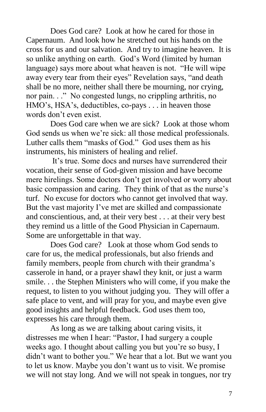Does God care? Look at how he cared for those in Capernaum. And look how he stretched out his hands on the cross for us and our salvation. And try to imagine heaven. It is so unlike anything on earth. God's Word (limited by human language) says more about what heaven is not. "He will wipe away every tear from their eyes" Revelation says, "and death shall be no more, neither shall there be mourning, nor crying, nor pain. . ." No congested lungs, no crippling arthritis, no HMO's, HSA's, deductibles, co-pays . . . in heaven those words don't even exist.

Does God care when we are sick? Look at those whom God sends us when we're sick: all those medical professionals. Luther calls them "masks of God." God uses them as his instruments, his ministers of healing and relief.

It's true. Some docs and nurses have surrendered their vocation, their sense of God-given mission and have become mere hirelings. Some doctors don't get involved or worry about basic compassion and caring. They think of that as the nurse's turf. No excuse for doctors who cannot get involved that way. But the vast majority I've met are skilled and compassionate and conscientious, and, at their very best . . . at their very best they remind us a little of the Good Physician in Capernaum. Some are unforgettable in that way.

Does God care? Look at those whom God sends to care for us, the medical professionals, but also friends and family members, people from church with their grandma's casserole in hand, or a prayer shawl they knit, or just a warm smile. . . the Stephen Ministers who will come, if you make the request, to listen to you without judging you. They will offer a safe place to vent, and will pray for you, and maybe even give good insights and helpful feedback. God uses them too, expresses his care through them.

As long as we are talking about caring visits, it distresses me when I hear: "Pastor, I had surgery a couple weeks ago. I thought about calling you but you're so busy, I didn't want to bother you." We hear that a lot. But we want you to let us know. Maybe you don't want us to visit. We promise we will not stay long. And we will not speak in tongues, nor try